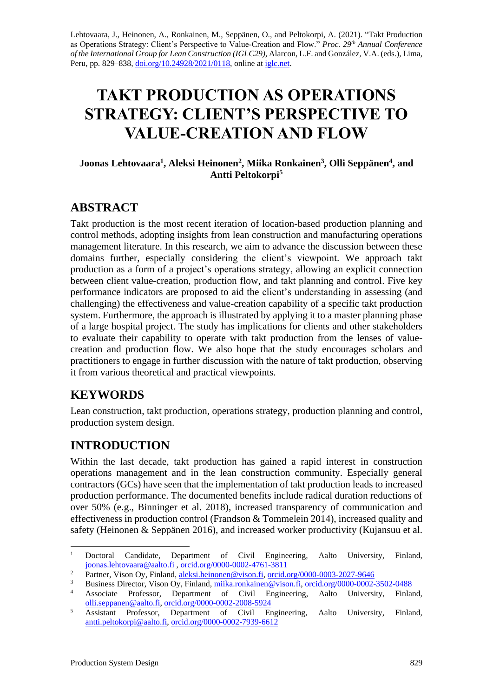Lehtovaara, J., Heinonen, A., Ronkainen, M., Seppänen, O., and Peltokorpi, A. (2021). "Takt Production as Operations Strategy: Client's Perspective to Value-Creation and Flow." *Proc. 29 th Annual Conference of the International Group for Lean Construction (IGLC29),* Alarcon, L.F. and González, V.A. (eds.)*,* Lima, Peru, pp. 829–838, [doi.org/10.24928/2021/0118,](https://doi.org/10.24928/2021/0118) online at [iglc.net.](http://iglc.net/)

# **TAKT PRODUCTION AS OPERATIONS STRATEGY: CLIENT'S PERSPECTIVE TO VALUE-CREATION AND FLOW**

#### **Joonas Lehtovaara<sup>1</sup> , Aleksi Heinonen<sup>2</sup> , Miika Ronkainen<sup>3</sup> , Olli Seppänen<sup>4</sup> , and Antti Peltokorpi<sup>5</sup>**

## **ABSTRACT**

Takt production is the most recent iteration of location-based production planning and control methods, adopting insights from lean construction and manufacturing operations management literature. In this research, we aim to advance the discussion between these domains further, especially considering the client's viewpoint. We approach takt production as a form of a project's operations strategy, allowing an explicit connection between client value-creation, production flow, and takt planning and control. Five key performance indicators are proposed to aid the client's understanding in assessing (and challenging) the effectiveness and value-creation capability of a specific takt production system. Furthermore, the approach is illustrated by applying it to a master planning phase of a large hospital project. The study has implications for clients and other stakeholders to evaluate their capability to operate with takt production from the lenses of valuecreation and production flow. We also hope that the study encourages scholars and practitioners to engage in further discussion with the nature of takt production, observing it from various theoretical and practical viewpoints.

## **KEYWORDS**

Lean construction, takt production, operations strategy, production planning and control, production system design.

## **INTRODUCTION**

Within the last decade, takt production has gained a rapid interest in construction operations management and in the lean construction community. Especially general contractors (GCs) have seen that the implementation of takt production leads to increased production performance. The documented benefits include radical duration reductions of over 50% (e.g., Binninger et al. 2018), increased transparency of communication and effectiveness in production control (Frandson & Tommelein 2014), increased quality and safety (Heinonen & Seppänen 2016), and increased worker productivity (Kujansuu et al.

<sup>&</sup>lt;sup>1</sup> Doctoral Candidate, Department of Civil Engineering, Aalto University, Finland, [joonas.lehtovaara@aalto.fi](mailto:joonas.lehtovaara@aalto.fi) , [orcid.org/0000-0002-4761-3811](https://orcid.org/0000-0002-4761-3811)

<sup>&</sup>lt;sup>2</sup> Partner, Vison Oy, Finland, [aleksi.heinonen@vison.fi,](mailto:aleksi.heinonen@vison.fi) [orcid.org/0000-0003-2027-9646](http://orcid.org/0000-0003-2027-9646)<br><sup>3</sup> Pusiness Director, Vison Oy, Finland, mille genkeinen@vison.fi, orcid.org/0000-0003

<sup>&</sup>lt;sup>3</sup><br>Business Director, Vison Oy, Finland, <u>miika.ronkainen@vison.fi, [orcid.org/0000-0002-3502-0488](http://orcid.org/0000-0002-3502-0488)</u><br>Accessity Directors Department of Civil Engineering Aelte University Finle

<sup>4</sup> Associate Professor, Department of Civil Engineering, Aalto University, Finland, [olli.seppanen@aalto.fi,](mailto:olli.seppanen@aalto.fi) [orcid.org/0000-0002-2008-5924](http://orcid.org/0000-0002-2008-5924)

<sup>&</sup>lt;sup>5</sup> Assistant Professor, Department of Civil Engineering, Aalto University, Finland, [antti.peltokorpi@aalto.fi,](mailto:antti.peltokorpi@aalto.fi) [orcid.org/0000-0002-7939-6612](http://orcid.org/0000-0002-7939-6612)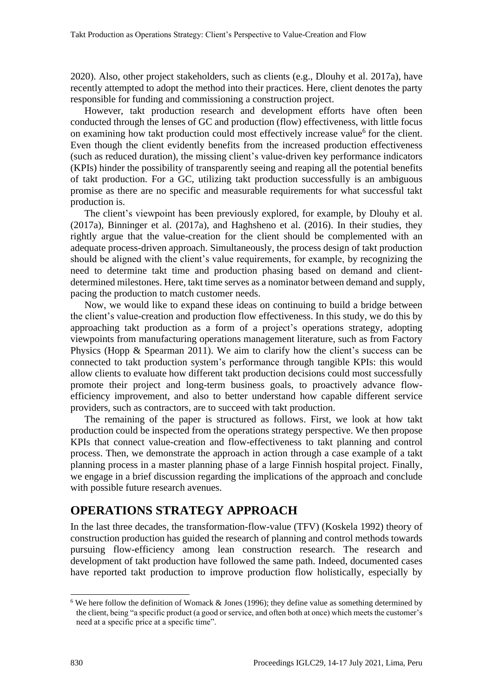2020). Also, other project stakeholders, such as clients (e.g., Dlouhy et al. 2017a), have recently attempted to adopt the method into their practices. Here, client denotes the party responsible for funding and commissioning a construction project.

However, takt production research and development efforts have often been conducted through the lenses of GC and production (flow) effectiveness, with little focus on examining how takt production could most effectively increase value<sup>6</sup> for the client. Even though the client evidently benefits from the increased production effectiveness (such as reduced duration), the missing client's value-driven key performance indicators (KPIs) hinder the possibility of transparently seeing and reaping all the potential benefits of takt production. For a GC, utilizing takt production successfully is an ambiguous promise as there are no specific and measurable requirements for what successful takt production is.

The client's viewpoint has been previously explored, for example, by Dlouhy et al. (2017a), Binninger et al. (2017a), and Haghsheno et al. (2016). In their studies, they rightly argue that the value-creation for the client should be complemented with an adequate process-driven approach. Simultaneously, the process design of takt production should be aligned with the client's value requirements, for example, by recognizing the need to determine takt time and production phasing based on demand and clientdetermined milestones. Here, takt time serves as a nominator between demand and supply, pacing the production to match customer needs.

Now, we would like to expand these ideas on continuing to build a bridge between the client's value-creation and production flow effectiveness. In this study, we do this by approaching takt production as a form of a project's operations strategy, adopting viewpoints from manufacturing operations management literature, such as from Factory Physics (Hopp & Spearman 2011). We aim to clarify how the client's success can be connected to takt production system's performance through tangible KPIs: this would allow clients to evaluate how different takt production decisions could most successfully promote their project and long-term business goals, to proactively advance flowefficiency improvement, and also to better understand how capable different service providers, such as contractors, are to succeed with takt production.

The remaining of the paper is structured as follows. First, we look at how takt production could be inspected from the operations strategy perspective. We then propose KPIs that connect value-creation and flow-effectiveness to takt planning and control process. Then, we demonstrate the approach in action through a case example of a takt planning process in a master planning phase of a large Finnish hospital project. Finally, we engage in a brief discussion regarding the implications of the approach and conclude with possible future research avenues.

## **OPERATIONS STRATEGY APPROACH**

In the last three decades, the transformation-flow-value (TFV) (Koskela 1992) theory of construction production has guided the research of planning and control methods towards pursuing flow-efficiency among lean construction research. The research and development of takt production have followed the same path. Indeed, documented cases have reported takt production to improve production flow holistically, especially by

<sup>&</sup>lt;sup>6</sup> We here follow the definition of Womack & Jones (1996); they define value as something determined by the client, being "a specific product (a good or service, and often both at once) which meets the customer's need at a specific price at a specific time".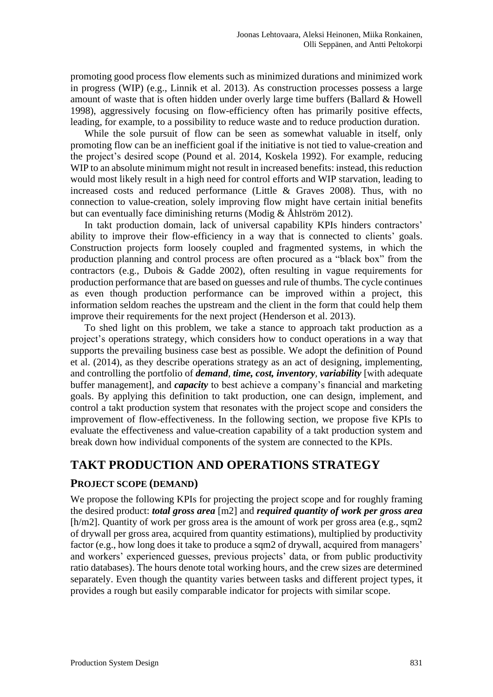promoting good process flow elements such as minimized durations and minimized work in progress (WIP) (e.g., Linnik et al. 2013). As construction processes possess a large amount of waste that is often hidden under overly large time buffers (Ballard & Howell 1998), aggressively focusing on flow-efficiency often has primarily positive effects, leading, for example, to a possibility to reduce waste and to reduce production duration.

While the sole pursuit of flow can be seen as somewhat valuable in itself, only promoting flow can be an inefficient goal if the initiative is not tied to value-creation and the project's desired scope (Pound et al. 2014, Koskela 1992). For example, reducing WIP to an absolute minimum might not result in increased benefits: instead, this reduction would most likely result in a high need for control efforts and WIP starvation, leading to increased costs and reduced performance (Little & Graves 2008). Thus, with no connection to value-creation, solely improving flow might have certain initial benefits but can eventually face diminishing returns (Modig  $\&$  Åhlström 2012).

In takt production domain, lack of universal capability KPIs hinders contractors' ability to improve their flow-efficiency in a way that is connected to clients' goals. Construction projects form loosely coupled and fragmented systems, in which the production planning and control process are often procured as a "black box" from the contractors (e.g., Dubois & Gadde 2002), often resulting in vague requirements for production performance that are based on guesses and rule of thumbs. The cycle continues as even though production performance can be improved within a project, this information seldom reaches the upstream and the client in the form that could help them improve their requirements for the next project (Henderson et al. 2013).

To shed light on this problem, we take a stance to approach takt production as a project's operations strategy, which considers how to conduct operations in a way that supports the prevailing business case best as possible. We adopt the definition of Pound et al. (2014), as they describe operations strategy as an act of designing, implementing, and controlling the portfolio of *demand, time, cost, inventory, variability* [with adequate buffer management], and *capacity* to best achieve a company's financial and marketing goals. By applying this definition to takt production, one can design, implement, and control a takt production system that resonates with the project scope and considers the improvement of flow-effectiveness. In the following section, we propose five KPIs to evaluate the effectiveness and value-creation capability of a takt production system and break down how individual components of the system are connected to the KPIs.

## **TAKT PRODUCTION AND OPERATIONS STRATEGY**

### **PROJECT SCOPE (DEMAND)**

We propose the following KPIs for projecting the project scope and for roughly framing the desired product: *total gross area* [m2] and *required quantity of work per gross area*  [h/m2]. Quantity of work per gross area is the amount of work per gross area (e.g., sqm2 of drywall per gross area, acquired from quantity estimations), multiplied by productivity factor (e.g., how long does it take to produce a sqm2 of drywall, acquired from managers' and workers' experienced guesses, previous projects' data, or from public productivity ratio databases). The hours denote total working hours, and the crew sizes are determined separately. Even though the quantity varies between tasks and different project types, it provides a rough but easily comparable indicator for projects with similar scope.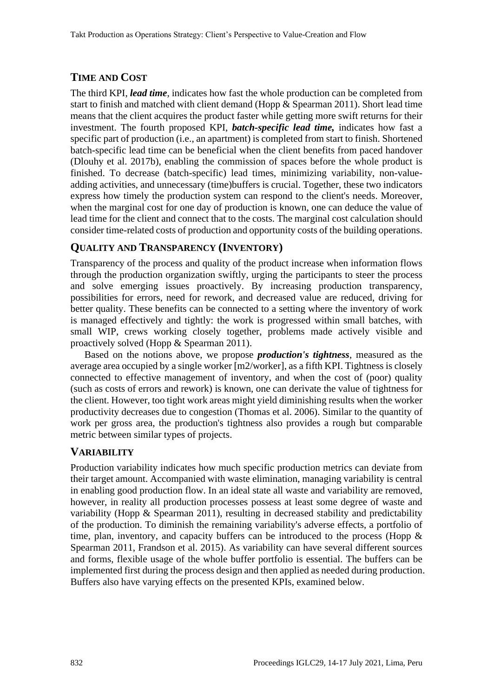## **TIME AND COST**

The third KPI, *lead time*, indicates how fast the whole production can be completed from start to finish and matched with client demand (Hopp & Spearman 2011). Short lead time means that the client acquires the product faster while getting more swift returns for their investment. The fourth proposed KPI, *batch-specific lead time,* indicates how fast a specific part of production (i.e., an apartment) is completed from start to finish. Shortened batch-specific lead time can be beneficial when the client benefits from paced handover (Dlouhy et al. 2017b), enabling the commission of spaces before the whole product is finished. To decrease (batch-specific) lead times, minimizing variability, non-valueadding activities, and unnecessary (time)buffers is crucial. Together, these two indicators express how timely the production system can respond to the client's needs. Moreover, when the marginal cost for one day of production is known, one can deduce the value of lead time for the client and connect that to the costs. The marginal cost calculation should consider time-related costs of production and opportunity costs of the building operations.

## **QUALITY AND TRANSPARENCY (INVENTORY)**

Transparency of the process and quality of the product increase when information flows through the production organization swiftly, urging the participants to steer the process and solve emerging issues proactively. By increasing production transparency, possibilities for errors, need for rework, and decreased value are reduced, driving for better quality. These benefits can be connected to a setting where the inventory of work is managed effectively and tightly: the work is progressed within small batches, with small WIP, crews working closely together, problems made actively visible and proactively solved (Hopp & Spearman 2011).

Based on the notions above, we propose *production's tightness*, measured as the average area occupied by a single worker [m2/worker], as a fifth KPI. Tightness is closely connected to effective management of inventory, and when the cost of (poor) quality (such as costs of errors and rework) is known, one can derivate the value of tightness for the client. However, too tight work areas might yield diminishing results when the worker productivity decreases due to congestion (Thomas et al. 2006). Similar to the quantity of work per gross area, the production's tightness also provides a rough but comparable metric between similar types of projects.

## **VARIABILITY**

Production variability indicates how much specific production metrics can deviate from their target amount. Accompanied with waste elimination, managing variability is central in enabling good production flow. In an ideal state all waste and variability are removed, however, in reality all production processes possess at least some degree of waste and variability (Hopp  $\&$  Spearman 2011), resulting in decreased stability and predictability of the production. To diminish the remaining variability's adverse effects, a portfolio of time, plan, inventory, and capacity buffers can be introduced to the process (Hopp & Spearman 2011, Frandson et al. 2015). As variability can have several different sources and forms, flexible usage of the whole buffer portfolio is essential. The buffers can be implemented first during the process design and then applied as needed during production. Buffers also have varying effects on the presented KPIs, examined below.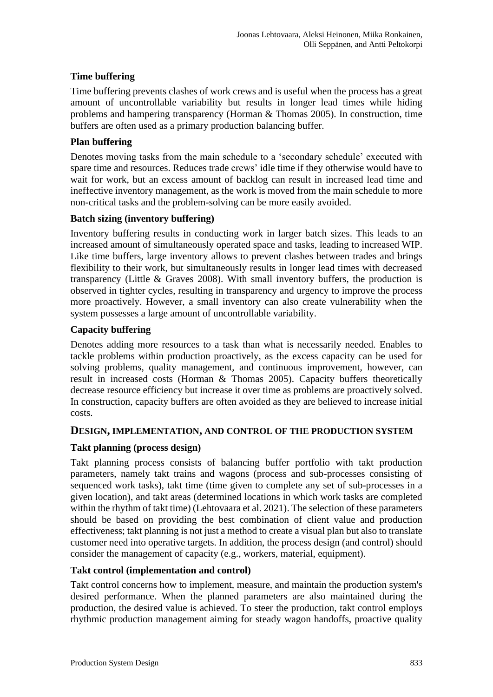#### **Time buffering**

Time buffering prevents clashes of work crews and is useful when the process has a great amount of uncontrollable variability but results in longer lead times while hiding problems and hampering transparency (Horman & Thomas 2005). In construction, time buffers are often used as a primary production balancing buffer.

#### **Plan buffering**

Denotes moving tasks from the main schedule to a 'secondary schedule' executed with spare time and resources. Reduces trade crews' idle time if they otherwise would have to wait for work, but an excess amount of backlog can result in increased lead time and ineffective inventory management, as the work is moved from the main schedule to more non-critical tasks and the problem-solving can be more easily avoided.

#### **Batch sizing (inventory buffering)**

Inventory buffering results in conducting work in larger batch sizes. This leads to an increased amount of simultaneously operated space and tasks, leading to increased WIP. Like time buffers, large inventory allows to prevent clashes between trades and brings flexibility to their work, but simultaneously results in longer lead times with decreased transparency (Little & Graves 2008). With small inventory buffers, the production is observed in tighter cycles, resulting in transparency and urgency to improve the process more proactively. However, a small inventory can also create vulnerability when the system possesses a large amount of uncontrollable variability.

#### **Capacity buffering**

Denotes adding more resources to a task than what is necessarily needed. Enables to tackle problems within production proactively, as the excess capacity can be used for solving problems, quality management, and continuous improvement, however, can result in increased costs (Horman & Thomas 2005). Capacity buffers theoretically decrease resource efficiency but increase it over time as problems are proactively solved. In construction, capacity buffers are often avoided as they are believed to increase initial costs.

#### **DESIGN, IMPLEMENTATION, AND CONTROL OF THE PRODUCTION SYSTEM**

#### **Takt planning (process design)**

Takt planning process consists of balancing buffer portfolio with takt production parameters, namely takt trains and wagons (process and sub-processes consisting of sequenced work tasks), takt time (time given to complete any set of sub-processes in a given location), and takt areas (determined locations in which work tasks are completed within the rhythm of takt time) (Lehtovaara et al. 2021). The selection of these parameters should be based on providing the best combination of client value and production effectiveness; takt planning is not just a method to create a visual plan but also to translate customer need into operative targets. In addition, the process design (and control) should consider the management of capacity (e.g., workers, material, equipment).

#### **Takt control (implementation and control)**

Takt control concerns how to implement, measure, and maintain the production system's desired performance. When the planned parameters are also maintained during the production, the desired value is achieved. To steer the production, takt control employs rhythmic production management aiming for steady wagon handoffs, proactive quality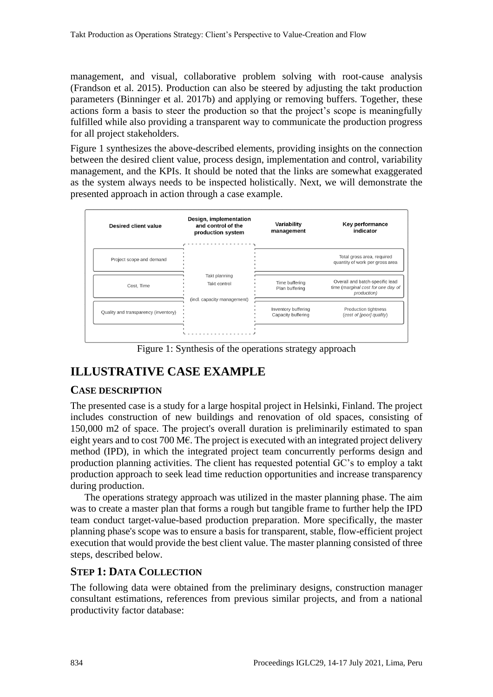management, and visual, collaborative problem solving with root-cause analysis (Frandson et al. 2015). Production can also be steered by adjusting the takt production parameters (Binninger et al. 2017b) and applying or removing buffers. Together, these actions form a basis to steer the production so that the project's scope is meaningfully fulfilled while also providing a transparent way to communicate the production progress for all project stakeholders.

Figure 1 synthesizes the above-described elements, providing insights on the connection between the desired client value, process design, implementation and control, variability management, and the KPIs. It should be noted that the links are somewhat exaggerated as the system always needs to be inspected holistically. Next, we will demonstrate the presented approach in action through a case example.



Figure 1: Synthesis of the operations strategy approach

## **ILLUSTRATIVE CASE EXAMPLE**

### **CASE DESCRIPTION**

The presented case is a study for a large hospital project in Helsinki, Finland. The project includes construction of new buildings and renovation of old spaces, consisting of 150,000 m2 of space. The project's overall duration is preliminarily estimated to span eight years and to cost 700 M€. The project is executed with an integrated project delivery method (IPD), in which the integrated project team concurrently performs design and production planning activities. The client has requested potential GC's to employ a takt production approach to seek lead time reduction opportunities and increase transparency during production.

The operations strategy approach was utilized in the master planning phase. The aim was to create a master plan that forms a rough but tangible frame to further help the IPD team conduct target-value-based production preparation. More specifically, the master planning phase's scope was to ensure a basis for transparent, stable, flow-efficient project execution that would provide the best client value. The master planning consisted of three steps, described below.

### **STEP 1: DATA COLLECTION**

The following data were obtained from the preliminary designs, construction manager consultant estimations, references from previous similar projects, and from a national productivity factor database: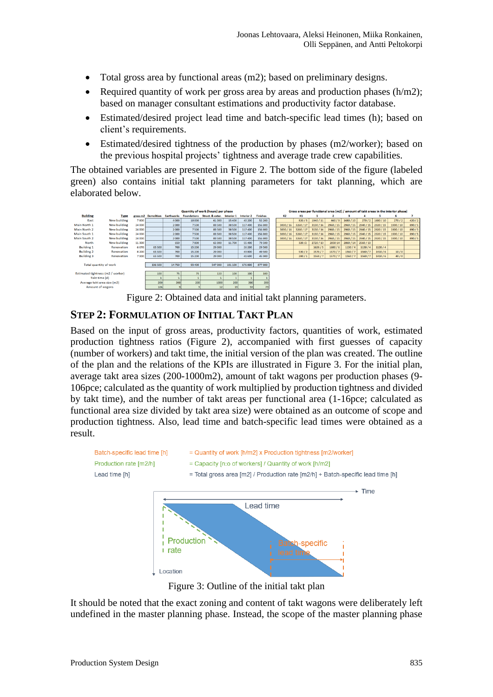- Total gross area by functional areas (m2); based on preliminary designs.
- Required quantity of work per gross area by areas and production phases  $(h/m2)$ ; based on manager consultant estimations and productivity factor database.
- Estimated/desired project lead time and batch-specific lead times (h); based on client's requirements.
- Estimated/desired tightness of the production by phases (m2/worker); based on the previous hospital projects' tightness and average trade crew capabilities.

The obtained variables are presented in Figure 2. The bottom side of the figure (labeled green) also contains initial takt planning parameters for takt planning, which are elaborated below.



Figure 2: Obtained data and initial takt planning parameters.

## **STEP 2: FORMULATION OF INITIAL TAKT PLAN**

Based on the input of gross areas, productivity factors, quantities of work, estimated production tightness ratios (Figure 2), accompanied with first guesses of capacity (number of workers) and takt time, the initial version of the plan was created. The outline of the plan and the relations of the KPIs are illustrated in Figure 3. For the initial plan, average takt area sizes (200-1000m2), amount of takt wagons per production phases (9- 106pce; calculated as the quantity of work multiplied by production tightness and divided by takt time), and the number of takt areas per functional area (1-16pce; calculated as functional area size divided by takt area size) were obtained as an outcome of scope and production tightness. Also, lead time and batch-specific lead times were obtained as a result.



Figure 3: Outline of the initial takt plan

It should be noted that the exact zoning and content of takt wagons were deliberately left undefined in the master planning phase. Instead, the scope of the master planning phase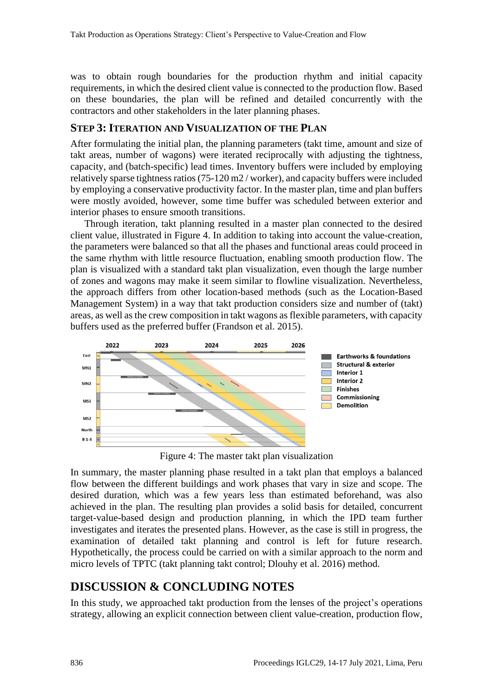was to obtain rough boundaries for the production rhythm and initial capacity requirements, in which the desired client value is connected to the production flow. Based on these boundaries, the plan will be refined and detailed concurrently with the contractors and other stakeholders in the later planning phases.

### **STEP 3: ITERATION AND VISUALIZATION OF THE PLAN**

After formulating the initial plan, the planning parameters (takt time, amount and size of takt areas, number of wagons) were iterated reciprocally with adjusting the tightness, capacity, and (batch-specific) lead times. Inventory buffers were included by employing relatively sparse tightness ratios (75-120 m2 / worker), and capacity buffers were included by employing a conservative productivity factor. In the master plan, time and plan buffers were mostly avoided, however, some time buffer was scheduled between exterior and interior phases to ensure smooth transitions.

Through iteration, takt planning resulted in a master plan connected to the desired client value, illustrated in Figure 4. In addition to taking into account the value-creation, the parameters were balanced so that all the phases and functional areas could proceed in the same rhythm with little resource fluctuation, enabling smooth production flow. The plan is visualized with a standard takt plan visualization, even though the large number of zones and wagons may make it seem similar to flowline visualization. Nevertheless, the approach differs from other location-based methods (such as the Location-Based Management System) in a way that takt production considers size and number of (takt) areas, as well as the crew composition in takt wagons as flexible parameters, with capacity buffers used as the preferred buffer (Frandson et al. 2015).



Figure 4: The master takt plan visualization

In summary, the master planning phase resulted in a takt plan that employs a balanced flow between the different buildings and work phases that vary in size and scope. The desired duration, which was a few years less than estimated beforehand, was also achieved in the plan. The resulting plan provides a solid basis for detailed, concurrent target-value-based design and production planning, in which the IPD team further investigates and iterates the presented plans. However, as the case is still in progress, the examination of detailed takt planning and control is left for future research. Hypothetically, the process could be carried on with a similar approach to the norm and micro levels of TPTC (takt planning takt control; Dlouhy et al. 2016) method.

## **DISCUSSION & CONCLUDING NOTES**

In this study, we approached takt production from the lenses of the project's operations strategy, allowing an explicit connection between client value-creation, production flow,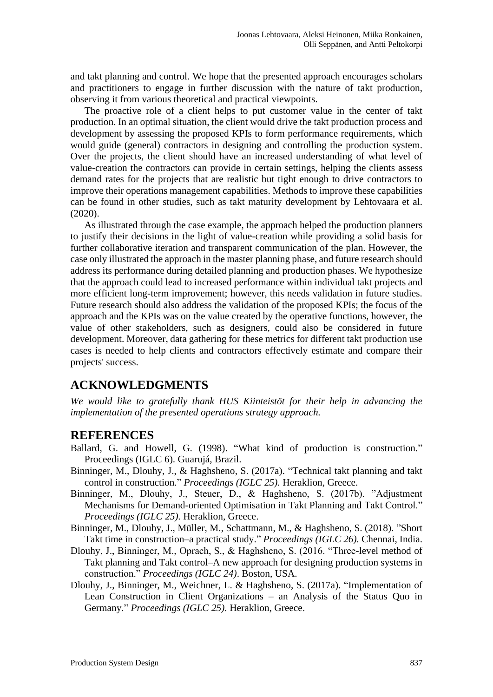and takt planning and control. We hope that the presented approach encourages scholars and practitioners to engage in further discussion with the nature of takt production, observing it from various theoretical and practical viewpoints.

The proactive role of a client helps to put customer value in the center of takt production. In an optimal situation, the client would drive the takt production process and development by assessing the proposed KPIs to form performance requirements, which would guide (general) contractors in designing and controlling the production system. Over the projects, the client should have an increased understanding of what level of value-creation the contractors can provide in certain settings, helping the clients assess demand rates for the projects that are realistic but tight enough to drive contractors to improve their operations management capabilities. Methods to improve these capabilities can be found in other studies, such as takt maturity development by Lehtovaara et al. (2020).

As illustrated through the case example, the approach helped the production planners to justify their decisions in the light of value-creation while providing a solid basis for further collaborative iteration and transparent communication of the plan. However, the case only illustrated the approach in the master planning phase, and future research should address its performance during detailed planning and production phases. We hypothesize that the approach could lead to increased performance within individual takt projects and more efficient long-term improvement; however, this needs validation in future studies. Future research should also address the validation of the proposed KPIs; the focus of the approach and the KPIs was on the value created by the operative functions, however, the value of other stakeholders, such as designers, could also be considered in future development. Moreover, data gathering for these metrics for different takt production use cases is needed to help clients and contractors effectively estimate and compare their projects' success.

## **ACKNOWLEDGMENTS**

*We would like to gratefully thank HUS Kiinteistöt for their help in advancing the implementation of the presented operations strategy approach.*

#### **REFERENCES**

- Ballard, G. and Howell, G. (1998). "What kind of production is construction." Proceedings (IGLC 6). Guarujá, Brazil.
- Binninger, M., Dlouhy, J., & Haghsheno, S. (2017a). "Technical takt planning and takt control in construction." *Proceedings (IGLC 25).* Heraklion, Greece.
- Binninger, M., Dlouhy, J., Steuer, D., & Haghsheno, S. (2017b). "Adjustment Mechanisms for Demand-oriented Optimisation in Takt Planning and Takt Control." *Proceedings (IGLC 25).* Heraklion, Greece.
- Binninger, M., Dlouhy, J., Müller, M., Schattmann, M., & Haghsheno, S. (2018). "Short Takt time in construction–a practical study." *Proceedings (IGLC 26).* Chennai, India.
- Dlouhy, J., Binninger, M., Oprach, S., & Haghsheno, S. (2016. "Three-level method of Takt planning and Takt control–A new approach for designing production systems in construction." *Proceedings (IGLC 24)*. Boston, USA.
- Dlouhy, J., Binninger, M., Weichner, L. & Haghsheno, S. (2017a). "Implementation of Lean Construction in Client Organizations – an Analysis of the Status Quo in Germany." *Proceedings (IGLC 25).* Heraklion, Greece.